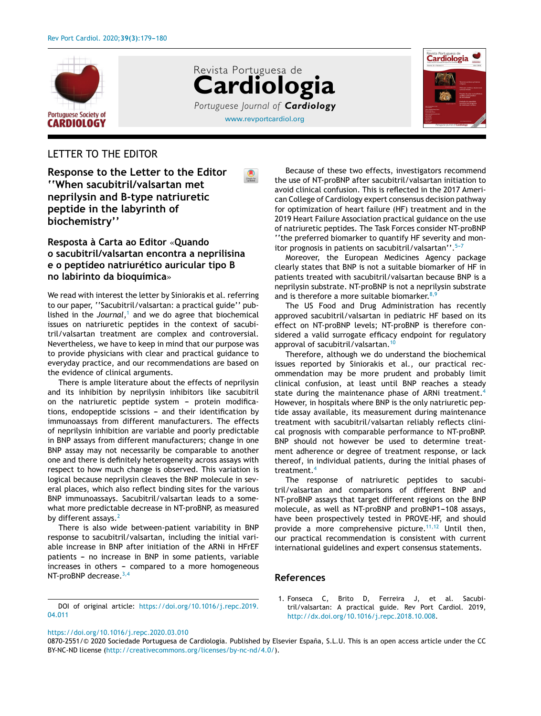





## LETTER TO THE EDITOR

**Response to the Letter to the Editor ''When sacubitril/valsartan met neprilysin and B-type natriuretic peptide in the labyrinth of biochemistry''**

## **Resposta à Carta ao Editor** «**Quando o sacubitril/valsartan encontra a neprilisina e o peptídeo natriurético auricular tipo B no labirinto da bioquímica**»

We read with interest the letter by Siniorakis et al. referring to our paper, ''Sacubitril/valsartan: a practical guide'' published in the *Journal*, <sup>1</sup> and we do agree that biochemical issues on natriuretic peptides in the context of sacubitril/valsartan treatment are complex and controversial. Nevertheless, we have to keep in mind that our purpose was to provide physicians with clear and practical guidance to everyday practice, and our recommendations are based on the evidence of clinical arguments.

There is ample literature about the effects of neprilysin and its inhibition by neprilysin inhibitors like sacubitril on the natriuretic peptide system  $-$  protein modifications, endopeptide scissions - and their identification by immunoassays from different manufacturers. The effects of neprilysin inhibition are variable and poorly predictable in BNP assays from different manufacturers; change in one BNP assay may not necessarily be comparable to another one and there is definitely heterogeneity across assays with respect to how much change is observed. This variation is logical because neprilysin cleaves the BNP molecule in several places, which also reflect binding sites for the various BNP immunoassays. Sacubitril/valsartan leads to a somewhat more predictable decrease in NT-proBNP, as measured by different assays.<sup>[2](#page-1-0)</sup>

There is also wide between-patient variability in BNP response to sacubitril/valsartan, including the initial variable increase in BNP after initiation of the ARNi in HFrEF patients - no increase in BNP in some patients, variable  $increases$  in others - compared to a more homogeneous NT-proBNP decrease.<sup>[3,4](#page-1-0)</sup>

DOI of original article: [https://doi.org/10.1016/j.repc.2019.](https://doi.org/10.1016/j.repc.2019.04.011) [04.011](https://doi.org/10.1016/j.repc.2019.04.011)

Because of these two effects, investigators recommend the use of NT-proBNP after sacubitril/valsartan initiation to avoid clinical confusion. This is reflected in the 2017 American College of Cardiology expert consensus decision pathway for optimization of heart failure (HF) treatment and in the 2019 Heart Failure Association practical guidance on the use of natriuretic peptides. The Task Forces consider NT-proBNP ''the preferred biomarker to quantify HF severity and monitor prognosis in patients on sacubitril/valsartan''.<sup>5-7</sup>

Moreover, the European Medicines Agency package clearly states that BNP is not a suitable biomarker of HF in patients treated with sacubitril/valsartan because BNP is a neprilysin substrate. NT-proBNP is not a neprilysin substrate and is therefore a more suitable biomarker. $8,9$ 

The US Food and Drug Administration has recently approved sacubitril/valsartan in pediatric HF based on its effect on NT-proBNP levels; NT-proBNP is therefore considered a valid surrogate efficacy endpoint for regulatory approval of sacubitril/valsartan.<sup>1</sup>

Therefore, although we do understand the biochemical issues reported by Siniorakis et al., our practical recommendation may be more prudent and probably limit clinical confusion, at least until BNP reaches a steady state during the maintenance phase of ARNi treatment.<sup>[4](#page-1-0)</sup> However, in hospitals where BNP is the only natriuretic peptide assay available, its measurement during maintenance treatment with sacubitril/valsartan reliably reflects clinical prognosis with comparable performance to NT-proBNP. BNP should not however be used to determine treatment adherence or degree of treatment response, or lack thereof, in individual patients, during the initial phases of treatment.[4](#page-1-0)

The response of natriuretic peptides to sacubitril/valsartan and comparisons of different BNP and NT-proBNP assays that target different regions on the BNP molecule, as well as NT-proBNP and proBNP1-108 assays, have been prospectively tested in PROVE-HF, and should provide a more comprehensive picture.<sup>[11,12](#page-1-0)</sup> Until then, our practical recommendation is consistent with current international guidelines and expert consensus statements.

## **References**

1. Fonseca C, Brito D, Ferreira J, et al. Sacubitril/valsartan: A practical guide. Rev Port Cardiol. 2019, [http://dx.doi.org/10.1016/j.repc.2018.10.008](dx.doi.org/10.1016/j.repc.2018.10.008).

## <https://doi.org/10.1016/j.repc.2020.03.010>

<sup>0870-2551/© 2020</sup> Sociedade Portuguesa de Cardiologia. Published by Elsevier España, S.L.U. This is an open access article under the CC BY-NC-ND license (<http://creativecommons.org/licenses/by-nc-nd/4.0/>).